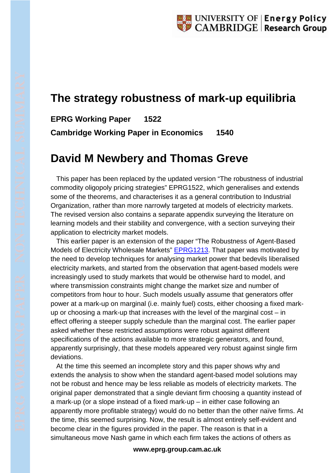## **The strategy robustness of mark-up equilibria**

**EPRG Working Paper 1522 Cambridge Working Paper in Economics 1540**

## **David M Newbery and Thomas Greve**

This paper has been replaced by the updated version "The robustness of industrial commodity oligopoly pricing strategies" EPRG1522, which generalises and extends some of the theorems, and characterises it as a general contribution to Industrial Organization, rather than more narrowly targeted at models of electricity markets. The revised version also contains a separate appendix surveying the literature on learning models and their stability and convergence, with a section surveying their application to electricity market models.

This earlier paper is an extension of the paper "The Robustness of Agent-Based Models of Electricity Wholesale Markets" [EPRG1213.](http://www.eprg.group.cam.ac.uk/wp-content/uploads/2013/10/EPRGRobsutnessRev913.pdf) That paper was motivated by the need to develop techniques for analysing market power that bedevils liberalised electricity markets, and started from the observation that agent-based models were increasingly used to study markets that would be otherwise hard to model, and where transmission constraints might change the market size and number of competitors from hour to hour. Such models usually assume that generators offer power at a mark-up on marginal (i.e. mainly fuel) costs, either choosing a fixed markup or choosing a mark-up that increases with the level of the marginal cost – in effect offering a steeper supply schedule than the marginal cost. The earlier paper asked whether these restricted assumptions were robust against different specifications of the actions available to more strategic generators, and found, apparently surprisingly, that these models appeared very robust against single firm deviations.

At the time this seemed an incomplete story and this paper shows why and extends the analysis to show when the standard agent-based model solutions may not be robust and hence may be less reliable as models of electricity markets. The original paper demonstrated that a single deviant firm choosing a quantity instead of a mark‐up (or a slope instead of a fixed mark‐up – in either case following an apparently more profitable strategy) would do no better than the other naïve firms. At the time, this seemed surprising. Now, the result is almost entirely self‐evident and become clear in the figures provided in the paper. The reason is that in a simultaneous move Nash game in which each firm takes the actions of others as

## **www.eprg.group.cam.ac.uk**